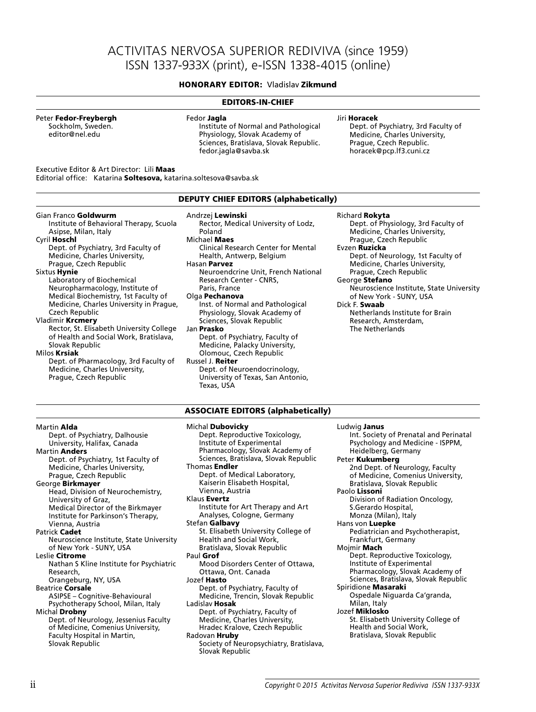# ACTIVITAS NERVOSA SUPERIOR REDIVIVA (since 1959) ISSN 1337-933X (print), e-ISSN 1338-4015 (online)

## **HONORARY EDITOR:** Vladislav **Zikmund**

#### **EDITORS-IN-CHIEF** Gian Franco **Goldwurm** Institute of Behavioral Therapy, Scuola Asipse, Milan, Italy Cyril **Hoschl** Dept. of Psychiatry, 3rd Faculty of Medicine, Charles University, Prague, Czech Republic Sixtus **Hynie** Laboratory of Biochemical Neuropharmacology, Institute of Medical Biochemistry, 1st Faculty of Medicine, Charles University in Prague, Czech Republic Vladimir **Krcmery** Rector, St. Elisabeth University College of Health and Social Work, Bratislava, Slovak Republic Milos **Krsiak** Dept. of Pharmacology, 3rd Faculty of Medicine, Charles University, Prague, Czech Republic Andrzej **Lewinski** Rector, Medical University of Lodz, Poland Michael **Maes** Clinical Research Center for Mental Health, Antwerp, Belgium Hasan **Parvez** Neuroendcrine Unit, French National Research Center - CNRS, Paris, France Olga **Pechanova** Inst. of Normal and Pathological Physiology, Slovak Academy of Sciences, Slovak Republic Jan **Prasko** Dept. of Psychiatry, Faculty of Medicine, Palacky University, Olomouc, Czech Republic Russel J. **Reiter** Dept. of Neuroendocrinology, University of Texas, San Antonio, Texas, USA Richard **Rokyta** Dept. of Physiology, 3rd Faculty of Medicine, Charles University, Prague, Czech Republic Evzen **Ruzicka** Dept. of Neurology, 1st Faculty of Medicine, Charles University, Prague, Czech Republic George **Stefano** Neuroscience Institute, State University of New York - SUNY, USA Dick F. **Swaab** Netherlands Institute for Brain Research, Amsterdam, The Netherlands Martin **Alda** Dept. of Psychiatry, Dalhousie University, Halifax, Canada Martin **Anders** Dept. of Psychiatry, 1st Faculty of Medicine, Charles University, Prague, Czech Republic George **Birkmayer** Head, Division of Neurochemistry, University of Graz, Medical Director of the Birkmayer Institute for Parkinson's Therapy, Vienna, Austria Patrick **Cadet** Neuroscience Institute, State University of New York - SUNY, USA Leslie **Citrome** Nathan S Kline Institute for Psychiatric Research, Orangeburg, NY, USA Michal **Dubovicky** Dept. Reproductive Toxicology, Institute of Experimental Pharmacology, Slovak Academy of Sciences, Bratislava, Slovak Republic Thomas **Endler** Dept. of Medical Laboratory, Kaiserin Elisabeth Hospital, Vienna, Austria Klaus **Evertz** Institute for Art Therapy and Art Analyses, Cologne, Germany Stefan **Galbavy** St. Elisabeth University College of Health and Social Work, Bratislava, Slovak Republic Paul **Grof** Mood Disorders Center of Ottawa, Ottawa, Ont. Canada Jozef **Hasto** Ludwig **Janus** Int. Society of Prenatal and Perinatal Psychology and Medicine - ISPPM, Heidelberg, Germany Peter **Kukumberg** 2nd Dept. of Neurology, Faculty of Medicine, Comenius University, Bratislava, Slovak Republic Paolo **Lissoni** Division of Radiation Oncology, S.Gerardo Hospital, Monza (Milan), Italy Hans von **Luepke** Pediatrician and Psychotherapist, Frankfurt, Germany Mojmir **Mach** Dept. Reproductive Toxicology, Institute of Experimental Pharmacology, Slovak Academy of Sciences, Bratislava, Slovak Republic **ASSOCIATE EDITORS (alphabetically) DEPUTY CHIEF EDITORS (alphabetically)**  Peter **Fedor-Freybergh** Sockholm, Sweden. editor@nel.edu Fedor **Jagla** Institute of Normal and Pathological Physiology, Slovak Academy of Sciences, Bratislava, Slovak Republic. fedor.jagla@savba.sk Jiri **Horacek** Dept. of Psychiatry, 3rd Faculty of Medicine, Charles University, Prague, Czech Republic. horacek@pcp.lf3.cuni.cz Executive Editor & Art Director: Lili **Maas** Editorial office: Katarina **Soltesova,** katarina.soltesova@savba.sk

Dept. of Psychiatry, Faculty of Medicine, Trencin, Slovak Republic

Dept. of Psychiatry, Faculty of Medicine, Charles University, Hradec Kralove, Czech Republic

Society of Neuropsychiatry, Bratislava,

Ladislav **Hosak**

Radovan **Hruby**

Slovak Republic

- Beatrice **Corsale**
- ASIPSE Cognitive-Behavioural Psychotherapy School, Milan, Italy Michal **Drobny**

Dept. of Neurology, Jessenius Faculty of Medicine, Comenius University, Faculty Hospital in Martin, Slovak Republic

Spiridione **Masaraki**

Milan, Italy Jozef **Miklosko**

Ospedale Niguarda Ca'granda,

St. Elisabeth University College of Health and Social Work, Bratislava, Slovak Republic